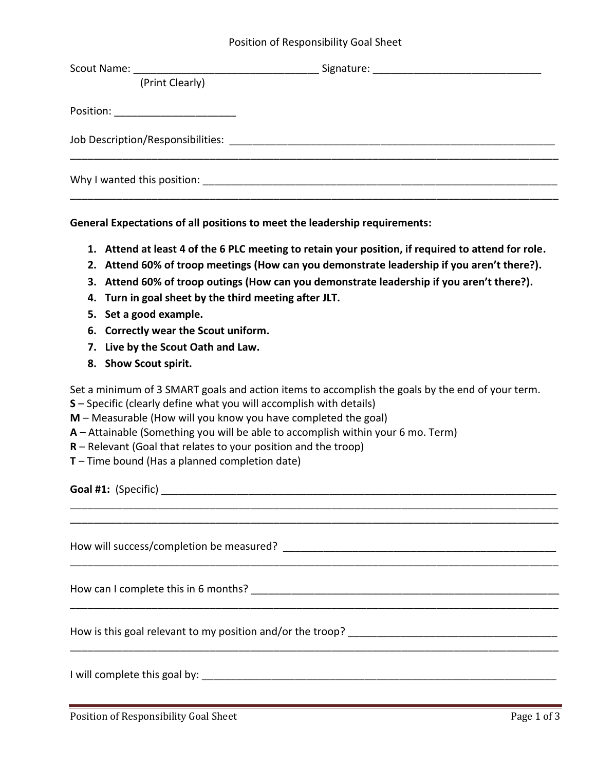## Position of Responsibility Goal Sheet

| (Print Clearly)                        |  |
|----------------------------------------|--|
| Position: _________________________    |  |
|                                        |  |
| Why I wanted this position: __________ |  |
|                                        |  |

**General Expectations of all positions to meet the leadership requirements:** 

- **1. Attend at least 4 of the 6 PLC meeting to retain your position, if required to attend for role.**
- **2. Attend 60% of troop meetings (How can you demonstrate leadership if you aren't there?).**
- **3. Attend 60% of troop outings (How can you demonstrate leadership if you aren't there?).**
- **4. Turn in goal sheet by the third meeting after JLT.**
- **5. Set a good example.**
- **6. Correctly wear the Scout uniform.**
- **7. Live by the Scout Oath and Law.**
- **8. Show Scout spirit.**

Set a minimum of 3 SMART goals and action items to accomplish the goals by the end of your term.

\_\_\_\_\_\_\_\_\_\_\_\_\_\_\_\_\_\_\_\_\_\_\_\_\_\_\_\_\_\_\_\_\_\_\_\_\_\_\_\_\_\_\_\_\_\_\_\_\_\_\_\_\_\_\_\_\_\_\_\_\_\_\_\_\_\_\_\_\_\_\_\_\_\_\_\_\_\_\_\_\_\_\_\_ \_\_\_\_\_\_\_\_\_\_\_\_\_\_\_\_\_\_\_\_\_\_\_\_\_\_\_\_\_\_\_\_\_\_\_\_\_\_\_\_\_\_\_\_\_\_\_\_\_\_\_\_\_\_\_\_\_\_\_\_\_\_\_\_\_\_\_\_\_\_\_\_\_\_\_\_\_\_\_\_\_\_\_\_

\_\_\_\_\_\_\_\_\_\_\_\_\_\_\_\_\_\_\_\_\_\_\_\_\_\_\_\_\_\_\_\_\_\_\_\_\_\_\_\_\_\_\_\_\_\_\_\_\_\_\_\_\_\_\_\_\_\_\_\_\_\_\_\_\_\_\_\_\_\_\_\_\_\_\_\_\_\_\_\_\_\_\_\_

\_\_\_\_\_\_\_\_\_\_\_\_\_\_\_\_\_\_\_\_\_\_\_\_\_\_\_\_\_\_\_\_\_\_\_\_\_\_\_\_\_\_\_\_\_\_\_\_\_\_\_\_\_\_\_\_\_\_\_\_\_\_\_\_\_\_\_\_\_\_\_\_\_\_\_\_\_\_\_\_\_\_\_\_

\_\_\_\_\_\_\_\_\_\_\_\_\_\_\_\_\_\_\_\_\_\_\_\_\_\_\_\_\_\_\_\_\_\_\_\_\_\_\_\_\_\_\_\_\_\_\_\_\_\_\_\_\_\_\_\_\_\_\_\_\_\_\_\_\_\_\_\_\_\_\_\_\_\_\_\_\_\_\_\_\_\_\_\_

- **S** Specific (clearly define what you will accomplish with details)
- **M** Measurable (How will you know you have completed the goal)
- **A** Attainable (Something you will be able to accomplish within your 6 mo. Term)
- **R** Relevant (Goal that relates to your position and the troop)
- **T** Time bound (Has a planned completion date)

**Goal #1:** (Specific) \_\_\_\_\_\_\_\_\_\_\_\_\_\_\_\_\_\_\_\_\_\_\_\_\_\_\_\_\_\_\_\_\_\_\_\_\_\_\_\_\_\_\_\_\_\_\_\_\_\_\_\_\_\_\_\_\_\_\_\_\_\_\_\_\_\_\_\_

How will success/completion be measured? **Example 2018** 

How can I complete this in 6 months? The state of the state of the state of the state of the state of the state of the state of the state of the state of the state of the state of the state of the state of the state of the

How is this goal relevant to my position and/or the troop?

I will complete this goal by:  $\blacksquare$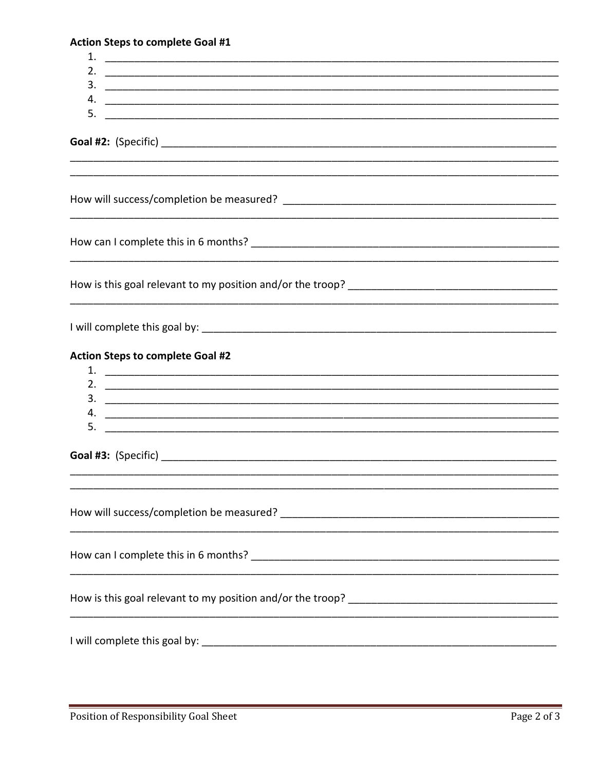|  |  |  | <b>Action Steps to complete Goal #1</b> |  |  |
|--|--|--|-----------------------------------------|--|--|
|--|--|--|-----------------------------------------|--|--|

 $\frac{3}{2}$ Goal #2: (Specific) and the set of the set of the set of the set of the set of the set of the set of the set o How can I complete this in 6 months? How is this goal relevant to my position and/or the troop? **Action Steps to complete Goal #2**  $5.$